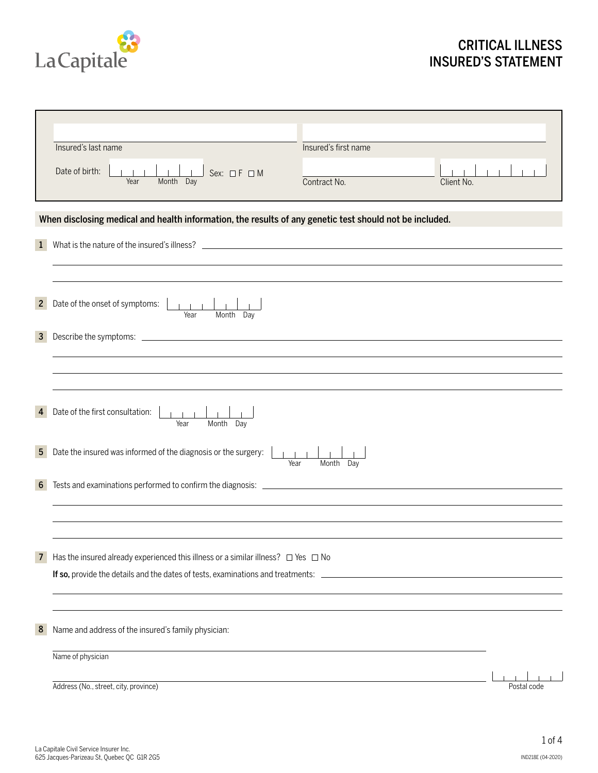

# CRITICAL ILLNESS INSURED'S STATEMENT

|                  | Insured's last name<br>Insured's first name                                                                                                                                                                                         |             |
|------------------|-------------------------------------------------------------------------------------------------------------------------------------------------------------------------------------------------------------------------------------|-------------|
|                  | Date of birth:<br>Sex: $\Box F \Box M$<br>Contract No.<br>Year<br>Month Day<br>Client No.                                                                                                                                           |             |
|                  | When disclosing medical and health information, the results of any genetic test should not be included.                                                                                                                             |             |
| $\mathbf{1}$     |                                                                                                                                                                                                                                     |             |
| $\overline{2}$   | Date of the onset of symptoms:<br>Month Day<br>Year                                                                                                                                                                                 |             |
| $\mathbf{3}$     | Describe the symptoms: <u>example and the symptoms</u> of the symptoms of the symptoms of the symptoms of the symptoms of the symptoms of the symptoms of the symptoms of the symptoms of the symptoms of the symptoms of the sympt |             |
|                  |                                                                                                                                                                                                                                     |             |
|                  | Date of the first consultation:<br>$1 - 1 - 1$<br>Month Day<br>Year                                                                                                                                                                 |             |
| 5 <sub>5</sub>   | Date the insured was informed of the diagnosis or the surgery:<br>Year<br>Month<br>Day                                                                                                                                              |             |
| $6 \overline{6}$ |                                                                                                                                                                                                                                     |             |
|                  |                                                                                                                                                                                                                                     |             |
| $\overline{7}$   | Has the insured already experienced this illness or a similar illness? $\Box$ Yes $\Box$ No                                                                                                                                         |             |
| 8                | Name and address of the insured's family physician:                                                                                                                                                                                 |             |
|                  | Name of physician                                                                                                                                                                                                                   |             |
|                  | Address (No., street, city, province)                                                                                                                                                                                               | Postal code |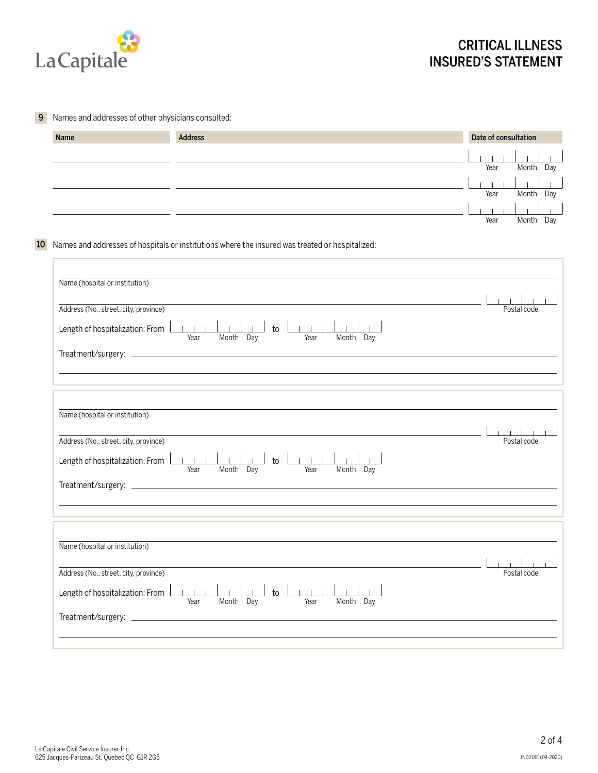

r.

#### **9** Names and addresses of other physicians consulted:

| Name | <b>Address</b> | Date of consultation |              |
|------|----------------|----------------------|--------------|
|      |                | Year                 | Month Day    |
|      |                | Year                 | Month Day    |
|      |                | Year                 | Month<br>Day |

## 10 Names and addresses of hospitals or institutions where the insured was treated or hospitalized:

| Name (hospital or institution)                                                          |             |
|-----------------------------------------------------------------------------------------|-------------|
|                                                                                         |             |
| Address (No., street, city, province)                                                   | Postal code |
| $1 - 1 - 1$                                                                             |             |
| Length of hospitalization: From<br>${\sf to}$<br>Month Day<br>Month Day<br>Year<br>Year |             |
|                                                                                         |             |
|                                                                                         |             |
|                                                                                         |             |
|                                                                                         |             |
|                                                                                         |             |
| Name (hospital or institution)                                                          |             |
|                                                                                         |             |
| Address (No., street, city, province)                                                   | Postal code |
| Length of hospitalization: From<br>$-1$ $-1$<br>to                                      |             |
| Month Day<br>Month Day<br>Year<br>Year                                                  |             |
|                                                                                         |             |
|                                                                                         |             |
|                                                                                         |             |
|                                                                                         |             |
| Name (hospital or institution)                                                          |             |
|                                                                                         |             |
| Address (No., street, city, province)                                                   | Postal code |
| Length of hospitalization: From<br>$-1$ $-1$<br>to                                      |             |
| Year<br>Month Day<br>Month Day<br>Year                                                  |             |
|                                                                                         |             |
|                                                                                         |             |
|                                                                                         |             |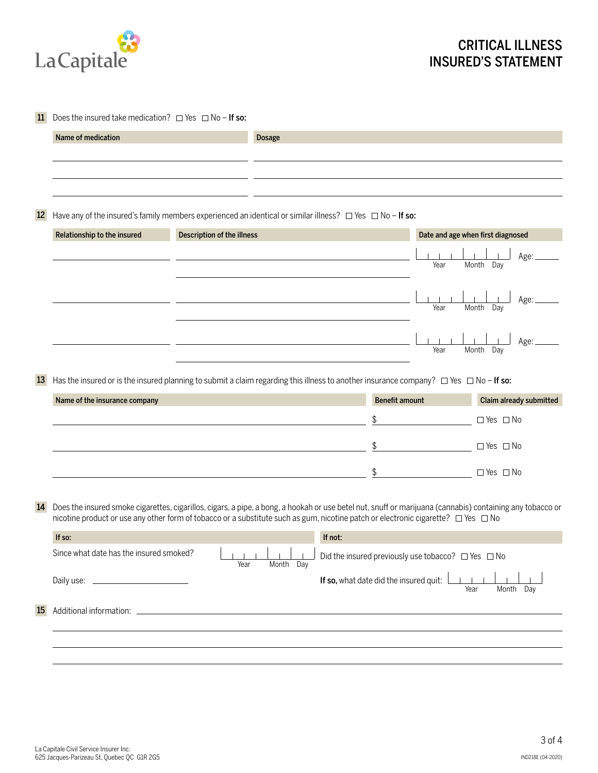

| 11 Does the insured take medication? $\Box$ Yes $\Box$ No - If so: |  |
|--------------------------------------------------------------------|--|
|                                                                    |  |

|                               |                                                                                                                                                                                                                                                                                                |                            | <b>Dosage</b> |         |                                                              |                                   |                         |
|-------------------------------|------------------------------------------------------------------------------------------------------------------------------------------------------------------------------------------------------------------------------------------------------------------------------------------------|----------------------------|---------------|---------|--------------------------------------------------------------|-----------------------------------|-------------------------|
|                               |                                                                                                                                                                                                                                                                                                |                            |               |         |                                                              |                                   |                         |
| $12 \overline{ }$             | Have any of the insured's family members experienced an identical or similar illness? $\Box$ Yes $\Box$ No - If so:                                                                                                                                                                            |                            |               |         |                                                              |                                   |                         |
| Relationship to the insured   |                                                                                                                                                                                                                                                                                                | Description of the illness |               |         |                                                              | Date and age when first diagnosed |                         |
|                               |                                                                                                                                                                                                                                                                                                |                            |               |         | Year                                                         | Month Day                         | Age:                    |
|                               |                                                                                                                                                                                                                                                                                                |                            |               |         | Year                                                         | Month                             | Age:<br>Day             |
|                               |                                                                                                                                                                                                                                                                                                |                            |               |         | Year                                                         | Month                             | Age:<br>Day             |
| 13                            | Has the insured or is the insured planning to submit a claim regarding this illness to another insurance company? $\Box$ Yes $\Box$ No - If so:                                                                                                                                                |                            |               |         |                                                              |                                   |                         |
| Name of the insurance company |                                                                                                                                                                                                                                                                                                |                            |               |         | <b>Benefit amount</b>                                        |                                   | Claim already submitted |
|                               |                                                                                                                                                                                                                                                                                                |                            |               | \$      |                                                              |                                   | $\Box$ Yes $\Box$ No    |
|                               |                                                                                                                                                                                                                                                                                                |                            |               | \$      |                                                              |                                   |                         |
|                               |                                                                                                                                                                                                                                                                                                |                            |               |         |                                                              |                                   | $\Box$ Yes $\Box$ No    |
|                               |                                                                                                                                                                                                                                                                                                |                            |               | \$      |                                                              |                                   | $\Box$ Yes $\Box$ No    |
| 14                            | Does the insured smoke cigarettes, cigarillos, cigars, a pipe, a bong, a hookah or use betel nut, snuff or marijuana (cannabis) containing any tobacco or<br>nicotine product or use any other form of tobacco or a substitute such as gum, nicotine patch or electronic cigarette? □ Yes □ No |                            |               |         |                                                              |                                   |                         |
| If so:                        |                                                                                                                                                                                                                                                                                                |                            |               | If not: |                                                              |                                   |                         |
|                               | Since what date has the insured smoked?                                                                                                                                                                                                                                                        | Year                       | Month Day     |         | Did the insured previously use tobacco? $\Box$ Yes $\Box$ No |                                   |                         |
|                               |                                                                                                                                                                                                                                                                                                |                            |               |         | If so, what date did the insured quit:                       | Year                              | Month Day               |
| 15                            |                                                                                                                                                                                                                                                                                                |                            |               |         |                                                              |                                   |                         |
|                               |                                                                                                                                                                                                                                                                                                |                            |               |         |                                                              |                                   |                         |